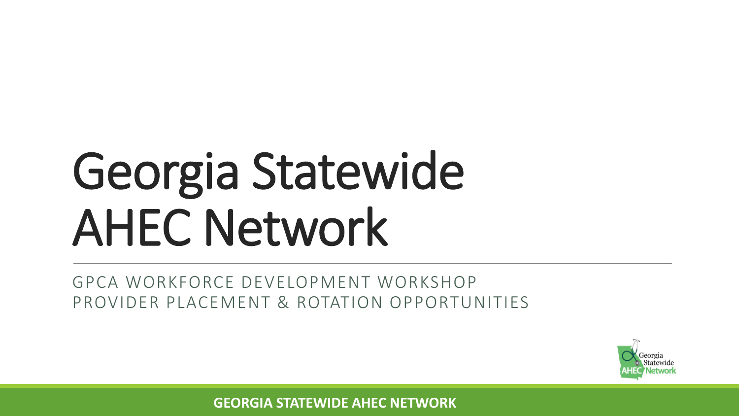# Georgia Statewide AHEC Network

GPCA WORKFORCE DEVELOPMENT WORKSHOP PROVIDER PLACEMENT & ROTATION OPPORTUNITIES

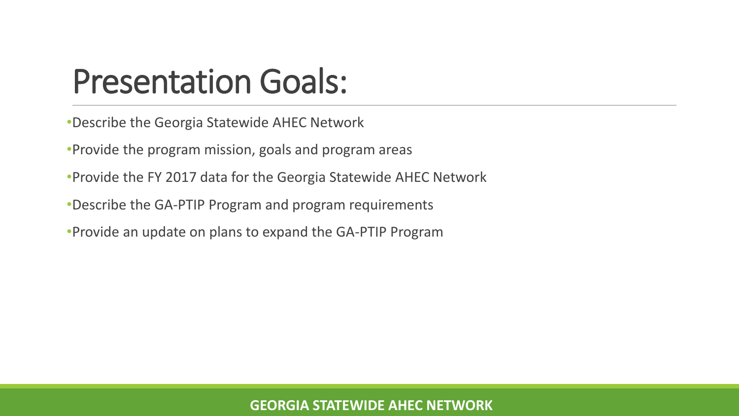### Presentation Goals:

- •Describe the Georgia Statewide AHEC Network
- •Provide the program mission, goals and program areas
- •Provide the FY 2017 data for the Georgia Statewide AHEC Network
- •Describe the GA-PTIP Program and program requirements
- •Provide an update on plans to expand the GA-PTIP Program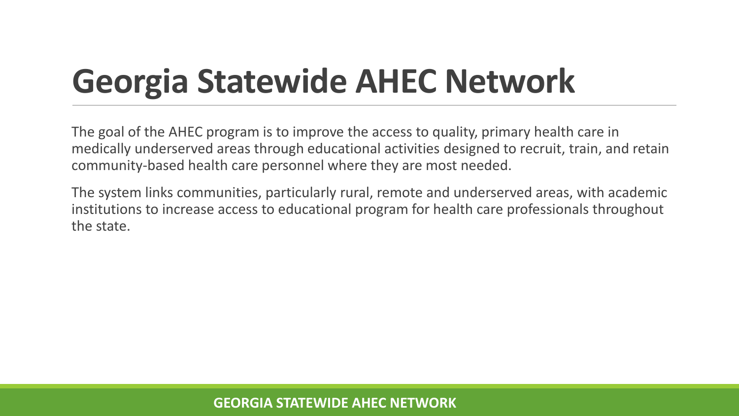### **Georgia Statewide AHEC Network**

The goal of the AHEC program is to improve the access to quality, primary health care in medically underserved areas through educational activities designed to recruit, train, and retain community-based health care personnel where they are most needed.

The system links communities, particularly rural, remote and underserved areas, with academic institutions to increase access to educational program for health care professionals throughout the state.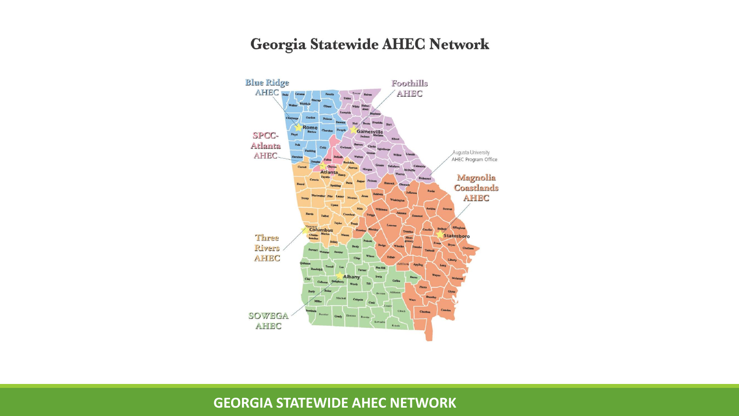#### Georgia Statewide AHEC Network

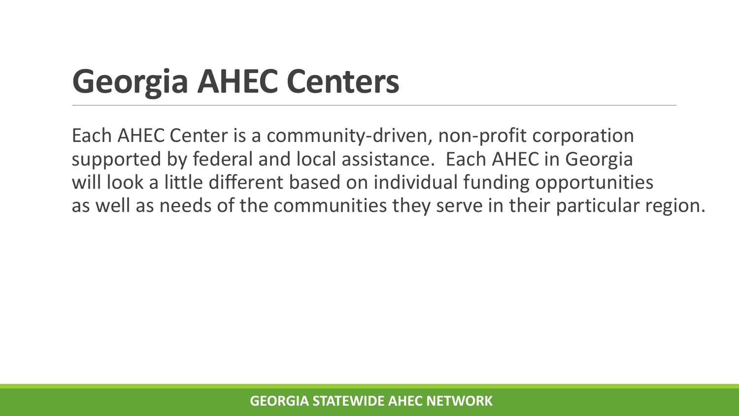### **Georgia AHEC Centers**

Each AHEC Center is a community-driven, non-profit corporation supported by federal and local assistance. Each AHEC in Georgia will look a little different based on individual funding opportunities as well as needs of the communities they serve in their particular region.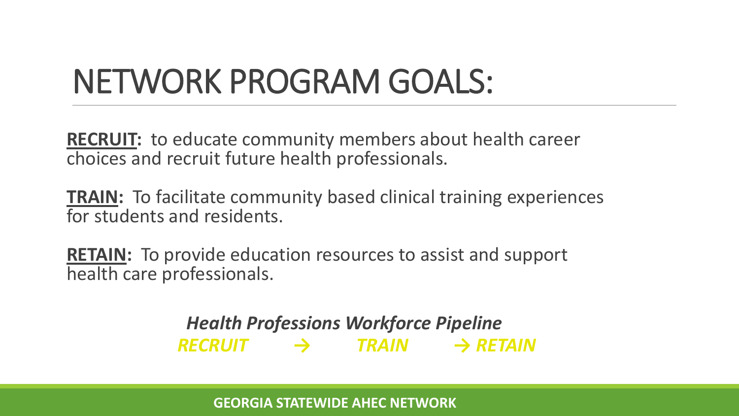### NETWORK PROGRAM GOALS:

**RECRUIT:** to educate community members about health career choices and recruit future health professionals.

**TRAIN:** To facilitate community based clinical training experiences for students and residents.

**RETAIN:** To provide education resources to assist and support health care professionals.

> *Health Professions Workforce Pipeline RECRUIT → TRAIN → RETAIN*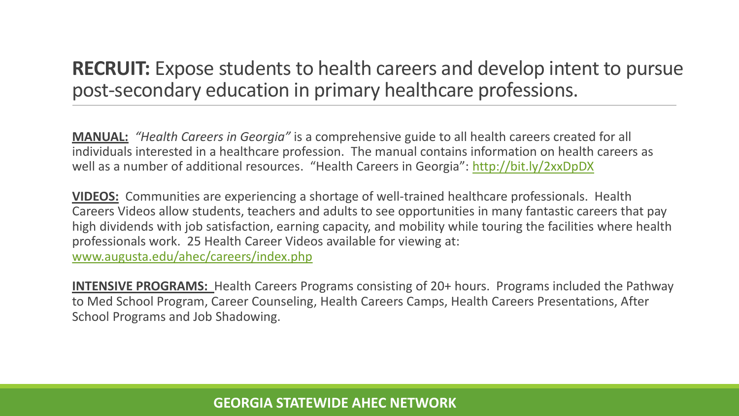#### **RECRUIT:** Expose students to health careers and develop intent to pursue post-secondary education in primary healthcare professions.

**MANUAL:** *"Health Careers in Georgia"* is a comprehensive guide to all health careers created for all individuals interested in a healthcare profession. The manual contains information on health careers as well as a number of additional resources. "Health Careers in Georgia": <http://bit.ly/2xxDpDX>

**VIDEOS:** Communities are experiencing a shortage of well-trained healthcare professionals. Health Careers Videos allow students, teachers and adults to see opportunities in many fantastic careers that pay high dividends with job satisfaction, earning capacity, and mobility while touring the facilities where health professionals work. 25 Health Career Videos available for viewing at: [www.augusta.edu/ahec/careers/index.php](http://www.augusta.edu/ahec/careers/index.php)

**INTENSIVE PROGRAMS:** Health Careers Programs consisting of 20+ hours. Programs included the Pathway to Med School Program, Career Counseling, Health Careers Camps, Health Careers Presentations, After School Programs and Job Shadowing.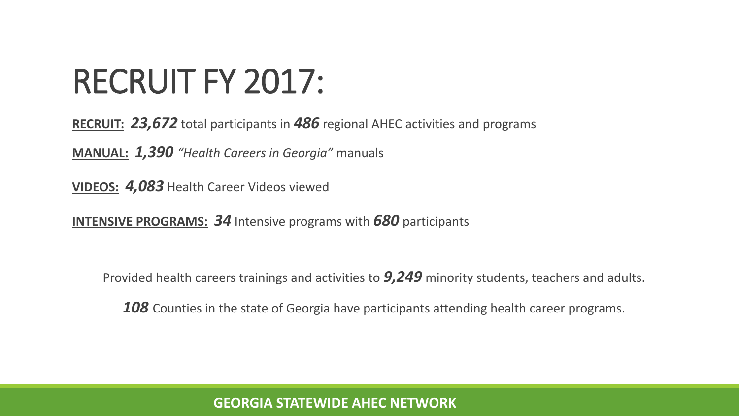### RECRUIT FY 2017:

**RECRUIT:** *23,672* total participants in *486* regional AHEC activities and programs

**MANUAL:** *1,390 "Health Careers in Georgia"* manuals

**VIDEOS:** *4,083* Health Career Videos viewed

**INTENSIVE PROGRAMS:** *34* Intensive programs with *680* participants

Provided health careers trainings and activities to *9,249* minority students, teachers and adults.

*108* Counties in the state of Georgia have participants attending health career programs.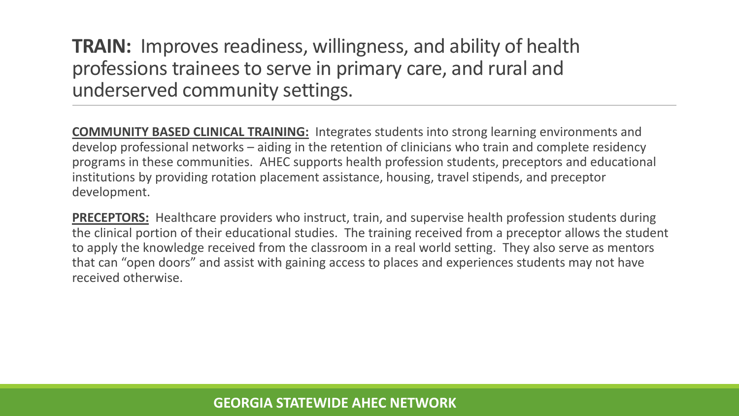**TRAIN:** Improves readiness, willingness, and ability of health professions trainees to serve in primary care, and rural and underserved community settings.

**COMMUNITY BASED CLINICAL TRAINING:** Integrates students into strong learning environments and develop professional networks – aiding in the retention of clinicians who train and complete residency programs in these communities. AHEC supports health profession students, preceptors and educational institutions by providing rotation placement assistance, housing, travel stipends, and preceptor development.

**PRECEPTORS:** Healthcare providers who instruct, train, and supervise health profession students during the clinical portion of their educational studies. The training received from a preceptor allows the student to apply the knowledge received from the classroom in a real world setting. They also serve as mentors that can "open doors" and assist with gaining access to places and experiences students may not have received otherwise.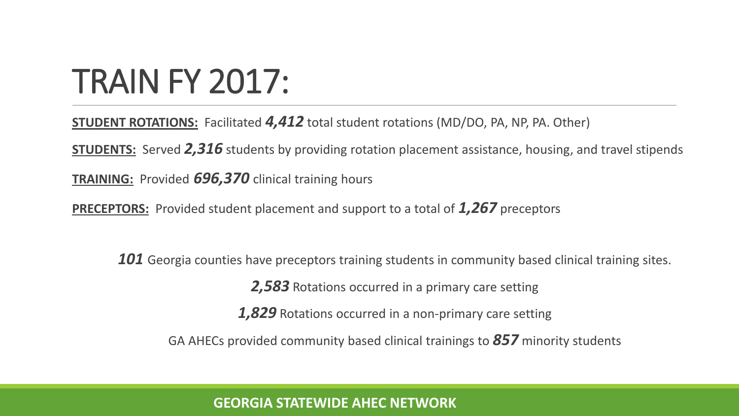### TRAIN FY 2017:

**STUDENT ROTATIONS:** Facilitated *4,412* total student rotations (MD/DO, PA, NP, PA. Other)

**STUDENTS:** Served *2,316* students by providing rotation placement assistance, housing, and travel stipends

**TRAINING:** Provided *696,370* clinical training hours

**PRECEPTORS:** Provided student placement and support to a total of *1,267* preceptors

**101** Georgia counties have preceptors training students in community based clinical training sites. *2,583* Rotations occurred in a primary care setting *1,829* Rotations occurred in a non-primary care setting GA AHECs provided community based clinical trainings to *857* minority students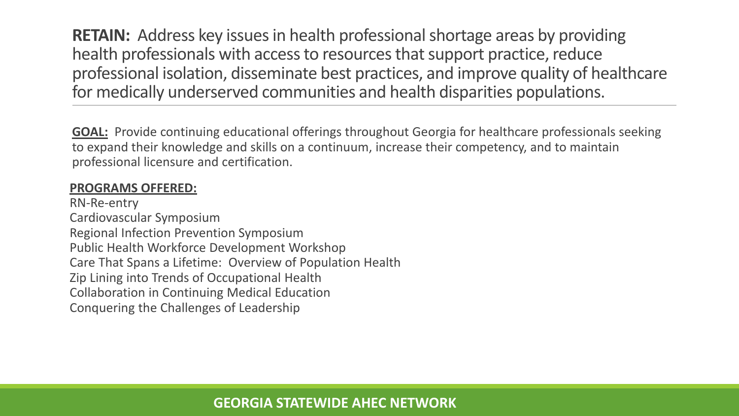**RETAIN:** Address key issues in health professional shortage areas by providing health professionals with access to resources that support practice, reduce professional isolation, disseminate best practices, and improve quality of healthcare for medically underserved communities and health disparities populations.

**GOAL:** Provide continuing educational offerings throughout Georgia for healthcare professionals seeking to expand their knowledge and skills on a continuum, increase their competency, and to maintain professional licensure and certification.

#### **PROGRAMS OFFERED:**

RN-Re-entry Cardiovascular Symposium Regional Infection Prevention Symposium Public Health Workforce Development Workshop Care That Spans a Lifetime: Overview of Population Health Zip Lining into Trends of Occupational Health Collaboration in Continuing Medical Education Conquering the Challenges of Leadership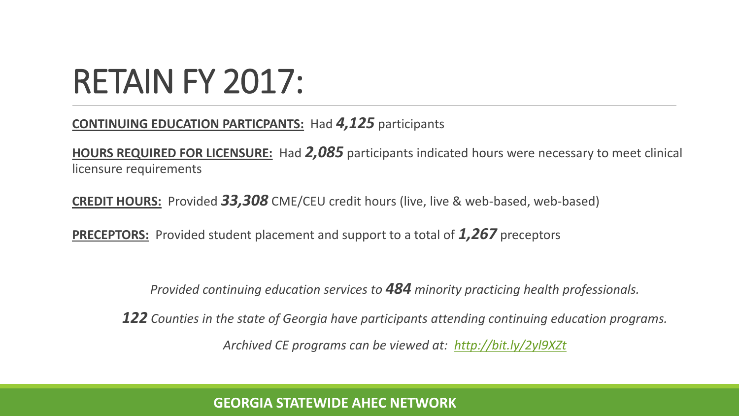### RETAIN FY 2017:

#### **CONTINUING EDUCATION PARTICPANTS:** Had *4,125* participants

**HOURS REQUIRED FOR LICENSURE:** Had *2,085* participants indicated hours were necessary to meet clinical licensure requirements

**CREDIT HOURS:** Provided *33,308* CME/CEU credit hours (live, live & web-based, web-based)

**PRECEPTORS:** Provided student placement and support to a total of *1,267* preceptors

*Provided continuing education services to 484 minority practicing health professionals.* 

*122 Counties in the state of Georgia have participants attending continuing education programs. Archived CE programs can be viewed at: <http://bit.ly/2yl9XZt>*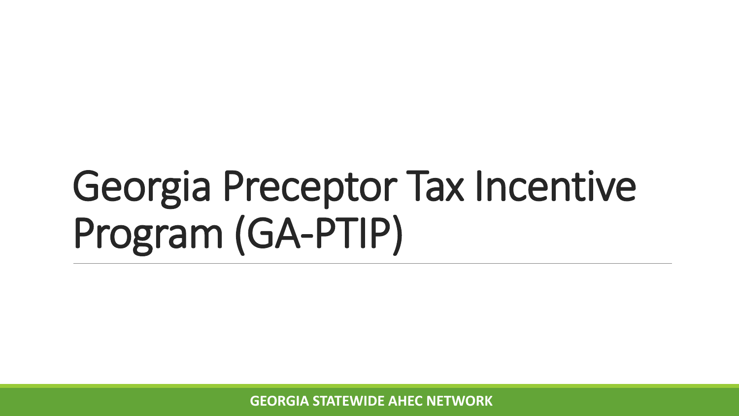## Georgia Preceptor Tax Incentive Program (GA-PTIP)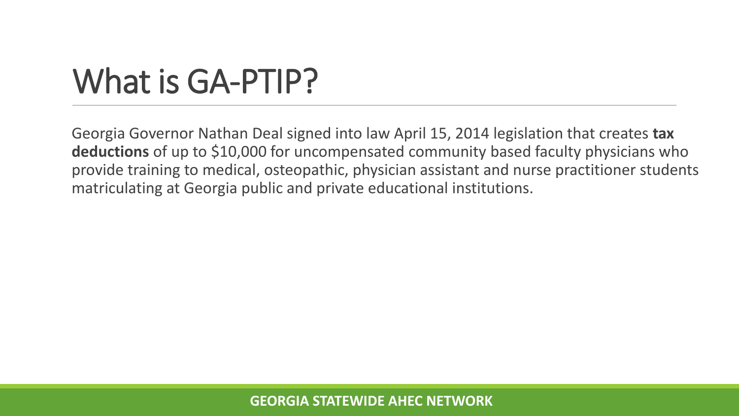### What is GA-PTIP?

Georgia Governor Nathan Deal signed into law April 15, 2014 legislation that creates **tax deductions** of up to \$10,000 for uncompensated community based faculty physicians who provide training to medical, osteopathic, physician assistant and nurse practitioner students matriculating at Georgia public and private educational institutions.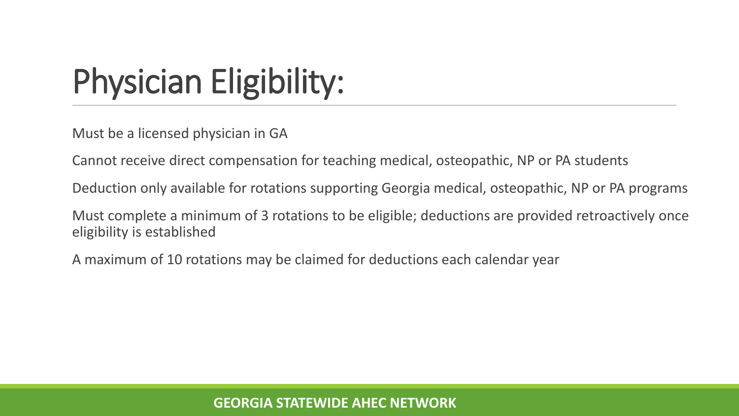### Physician Eligibility:

Must be a licensed physician in GA

Cannot receive direct compensation for teaching medical, osteopathic, NP or PA students

Deduction only available for rotations supporting Georgia medical, osteopathic, NP or PA programs

Must complete a minimum of 3 rotations to be eligible; deductions are provided retroactively once eligibility is established

A maximum of 10 rotations may be claimed for deductions each calendar year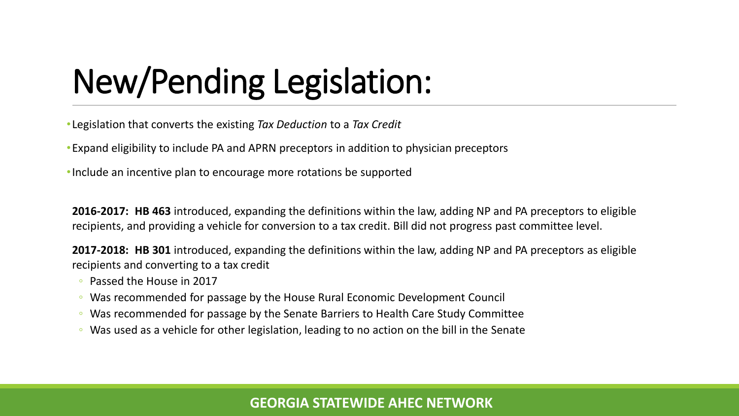### New/Pending Legislation:

•Legislation that converts the existing *Tax Deduction* to a *Tax Credit*

•Expand eligibility to include PA and APRN preceptors in addition to physician preceptors

•Include an incentive plan to encourage more rotations be supported

**2016-2017: HB 463** introduced, expanding the definitions within the law, adding NP and PA preceptors to eligible recipients, and providing a vehicle for conversion to a tax credit. Bill did not progress past committee level.

**2017-2018: HB 301** introduced, expanding the definitions within the law, adding NP and PA preceptors as eligible recipients and converting to a tax credit

- Passed the House in 2017
- Was recommended for passage by the House Rural Economic Development Council
- Was recommended for passage by the Senate Barriers to Health Care Study Committee
- Was used as a vehicle for other legislation, leading to no action on the bill in the Senate